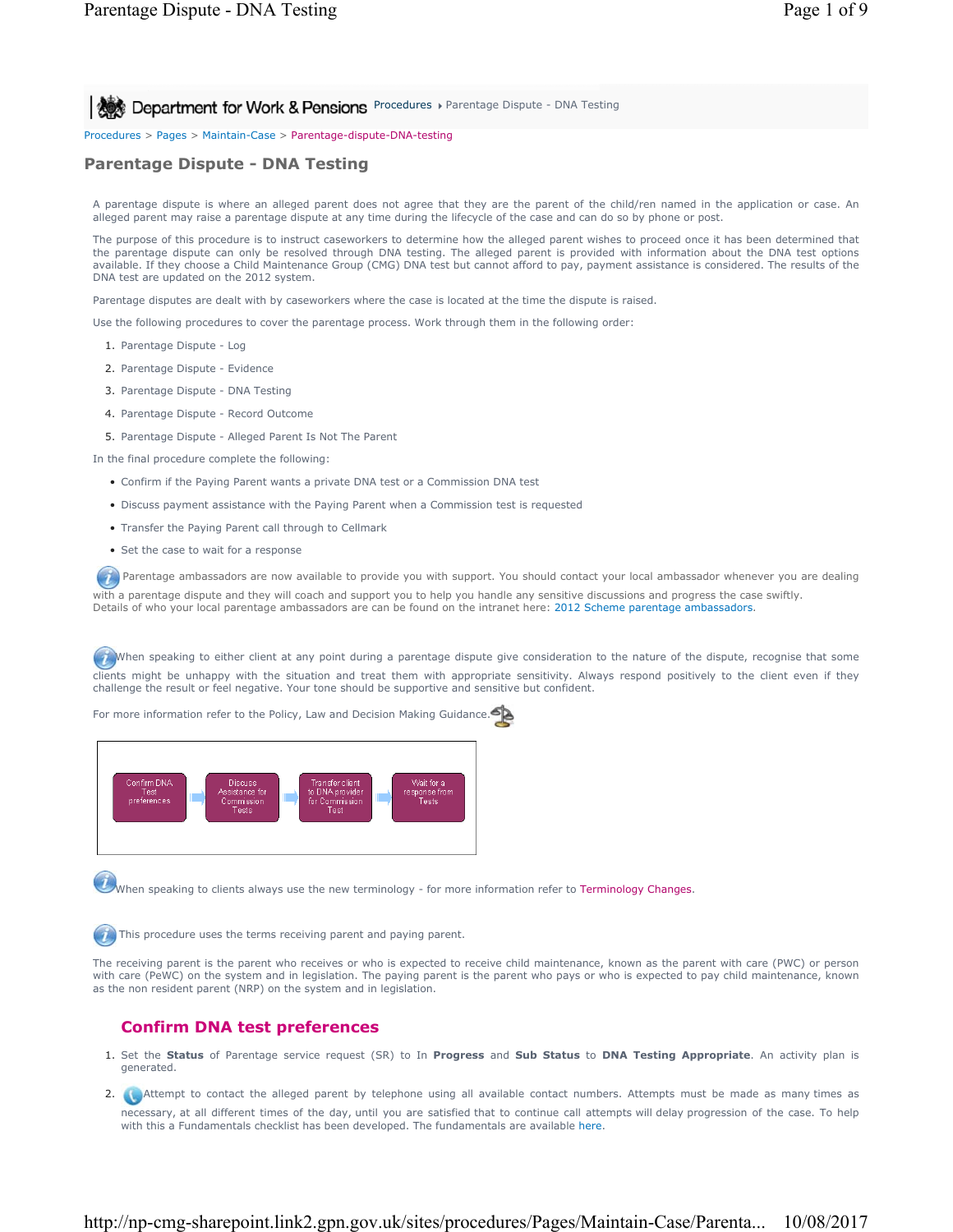**Procedures > Parentage Dispute - DNA Testing Procedures > Parentage Dispute - DNA Testing** 

Procedures > Pages > Maintain-Case > Parentage-dispute-DNA-testing

# **Parentage Dispute - DNA Testing**

A parentage dispute is where an alleged parent does not agree that they are the parent of the child/ren named in the application or case. An alleged parent may raise a parentage dispute at any time during the lifecycle of the case and can do so by phone or post.

The purpose of this procedure is to instruct caseworkers to determine how the alleged parent wishes to proceed once it has been determined that the parentage dispute can only be resolved through DNA testing. The alleged parent is provided with information about the DNA test options available. If they choose a Child Maintenance Group (CMG) DNA test but cannot afford to pay, payment assistance is considered. The results of the DNA test are updated on the 2012 system.

Parentage disputes are dealt with by caseworkers where the case is located at the time the dispute is raised.

Use the following procedures to cover the parentage process. Work through them in the following order:

- 1. Parentage Dispute Log
- 2. Parentage Dispute Evidence
- 3. Parentage Dispute DNA Testing
- 4. Parentage Dispute Record Outcome
- 5. Parentage Dispute Alleged Parent Is Not The Parent

In the final procedure complete the following:

- Confirm if the Paying Parent wants a private DNA test or a Commission DNA test
- Discuss payment assistance with the Paying Parent when a Commission test is requested
- Transfer the Paying Parent call through to Cellmark
- Set the case to wait for a response

**Parentage ambassadors are now available to provide you with support. You should contact your local ambassador whenever you are dealing** with a parentage dispute and they will coach and support you to help you handle any sensitive discussions and progress the case swiftly. Details of who your local parentage ambassadors are can be found on the intranet here: 2012 Scheme parentage ambassadors.

When speaking to either client at any point during a parentage dispute give consideration to the nature of the dispute, recognise that some clients might be unhappy with the situation and treat them with appropriate sensitivity. Always respond positively to the client even if they challenge the result or feel negative. Your tone should be supportive and sensitive but confident.

For more information refer to the Policy, Law and Decision Making Guidance.



When speaking to clients always use the new terminology - for more information refer to Terminology Changes.

This procedure uses the terms receiving parent and paying parent.

The receiving parent is the parent who receives or who is expected to receive child maintenance, known as the parent with care (PWC) or person with care (PeWC) on the system and in legislation. The paying parent is the parent who pays or who is expected to pay child maintenance, known as the non resident parent (NRP) on the system and in legislation.

# **Confirm DNA test preferences**

- 1. Set the Status of Parentage service request (SR) to In Progress and Sub Status to DNA Testing Appropriate. An activity plan is generated.
- 2. **Attempt to contact the alleged parent by telephone using all available contact numbers. Attempts must be made as many times as** necessary, at all different times of the day, until you are satisfied that to continue call attempts will delay progression of the case. To help with this a Fundamentals checklist has been developed. The fundamentals are available here.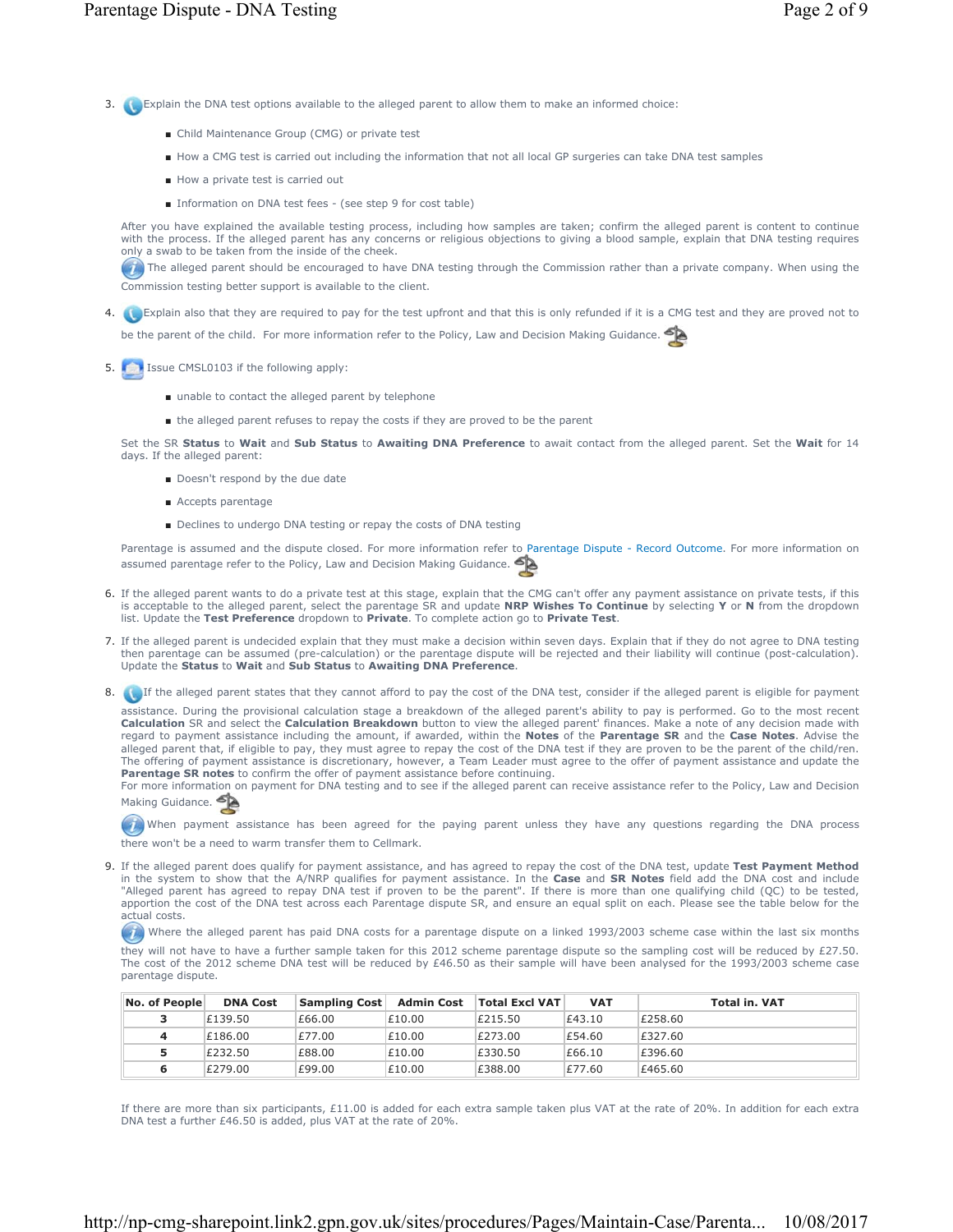- 3. Explain the DNA test options available to the alleged parent to allow them to make an informed choice:
	- Child Maintenance Group (CMG) or private test
	- How a CMG test is carried out including the information that not all local GP surgeries can take DNA test samples
	- How a private test is carried out
	- Information on DNA test fees (see step 9 for cost table)

After you have explained the available testing process, including how samples are taken; confirm the alleged parent is content to continue with the process. If the alleged parent has any concerns or religious objections to giving a blood sample, explain that DNA testing requires only a swab to be taken from the inside of the cheek.

The alleged parent should be encouraged to have DNA testing through the Commission rather than a private company. When using the Commission testing better support is available to the client.

4. **Co** Explain also that they are required to pay for the test upfront and that this is only refunded if it is a CMG test and they are proved not to

be the parent of the child. For more information refer to the Policy, Law and Decision Making Guidance.

- 5. **ISSUE CMSL0103** if the following apply:
	- unable to contact the alleged parent by telephone
	- the alleged parent refuses to repay the costs if they are proved to be the parent

Set the SR **Status** to **Wait** and **Sub Status** to **Awaiting DNA Preference** to await contact from the alleged parent. Set the **Wait** for 14 days. If the alleged parent:

- Doesn't respond by the due date
- Accepts parentage
- Declines to undergo DNA testing or repay the costs of DNA testing

Parentage is assumed and the dispute closed. For more information refer to Parentage Dispute - Record Outcome. For more information on assumed parentage refer to the Policy, Law and Decision Making Guidance.

- 6. If the alleged parent wants to do a private test at this stage, explain that the CMG can't offer any payment assistance on private tests, if this is acceptable to the alleged parent, select the parentage SR and update **NRP Wishes To Continue** by selecting **Y** or **N** from the dropdown<br>list. Update the **Test Preference** dropdown to **Private**. To complete action go to
- If the alleged parent is undecided explain that they must make a decision within seven days. Explain that if they do not agree to DNA testing 7. then parentage can be assumed (pre-calculation) or the parentage dispute will be rejected and their liability will continue (post-calculation). Update the **Status** to **Wait** and **Sub Status** to **Awaiting DNA Preference**.
- 8. If the alleged parent states that they cannot afford to pay the cost of the DNA test, consider if the alleged parent is eligible for payment

assistance. During the provisional calculation stage a breakdown of the alleged parent's ability to pay is performed. Go to the most recent Calculation SR and select the Calculation Breakdown button to view the alleged parent' finances. Make a note of any decision made with<br>regard to payment assistance including the amount, if awarded, within the Notes of the alleged parent that, if eligible to pay, they must agree to repay the cost of the DNA test if they are proven to be the parent of the child/ren. The offering of payment assistance is discretionary, however, a Team Leader must agree to the offer of payment assistance and update the **Parentage SR notes** to confirm the offer of payment assistance before continuing.

For more information on payment for DNA testing and to see if the alleged parent can receive assistance refer to the Policy, Law and Decision Making Guidance.

When payment assistance has been agreed for the paying parent unless they have any questions regarding the DNA process there won't be a need to warm transfer them to Cellmark.

If the alleged parent does qualify for payment assistance, and has agreed to repay the cost of the DNA test, update **Test Payment Method** 9. in the system to show that the A/NRP qualifies for payment assistance. In the **Case** and **SR Notes** field add the DNA cost and include "Alleged parent has agreed to repay DNA test if proven to be the parent". If there is more than one qualifying child (QC) to be tested, apportion the cost of the DNA test across each Parentage dispute SR, and ensure an equal split on each. Please see the table below for the actual costs.

Where the alleged parent has paid DNA costs for a parentage dispute on a linked 1993/2003 scheme case within the last six months

they will not have to have a further sample taken for this 2012 scheme parentage dispute so the sampling cost will be reduced by £27.50. The cost of the 2012 scheme DNA test will be reduced by £46.50 as their sample will have been analysed for the 1993/2003 scheme case parentage dispute.

| No. of People | <b>DNA Cost</b> | Sampling Cost | <b>Admin Cost</b> | <b>Total Excl VAT</b> | <b>VAT</b> | <b>Total in. VAT</b> |
|---------------|-----------------|---------------|-------------------|-----------------------|------------|----------------------|
| з             | £139.50         | £66.00        | £10.00            | £215.50               | £43.10     | £258.60              |
| 4             | £186.00         | £77.00        | £10.00            | £273.00               | £54.60     | £327.60              |
| 5             | £232.50         | £88.00        | £10.00            | £330.50               | £66.10     | £396.60              |
| 6             | £279.00         | £99.00        | £10.00            | £388.00               | £77.60     | £465.60              |

If there are more than six participants, £11.00 is added for each extra sample taken plus VAT at the rate of 20%. In addition for each extra DNA test a further £46.50 is added, plus VAT at the rate of 20%.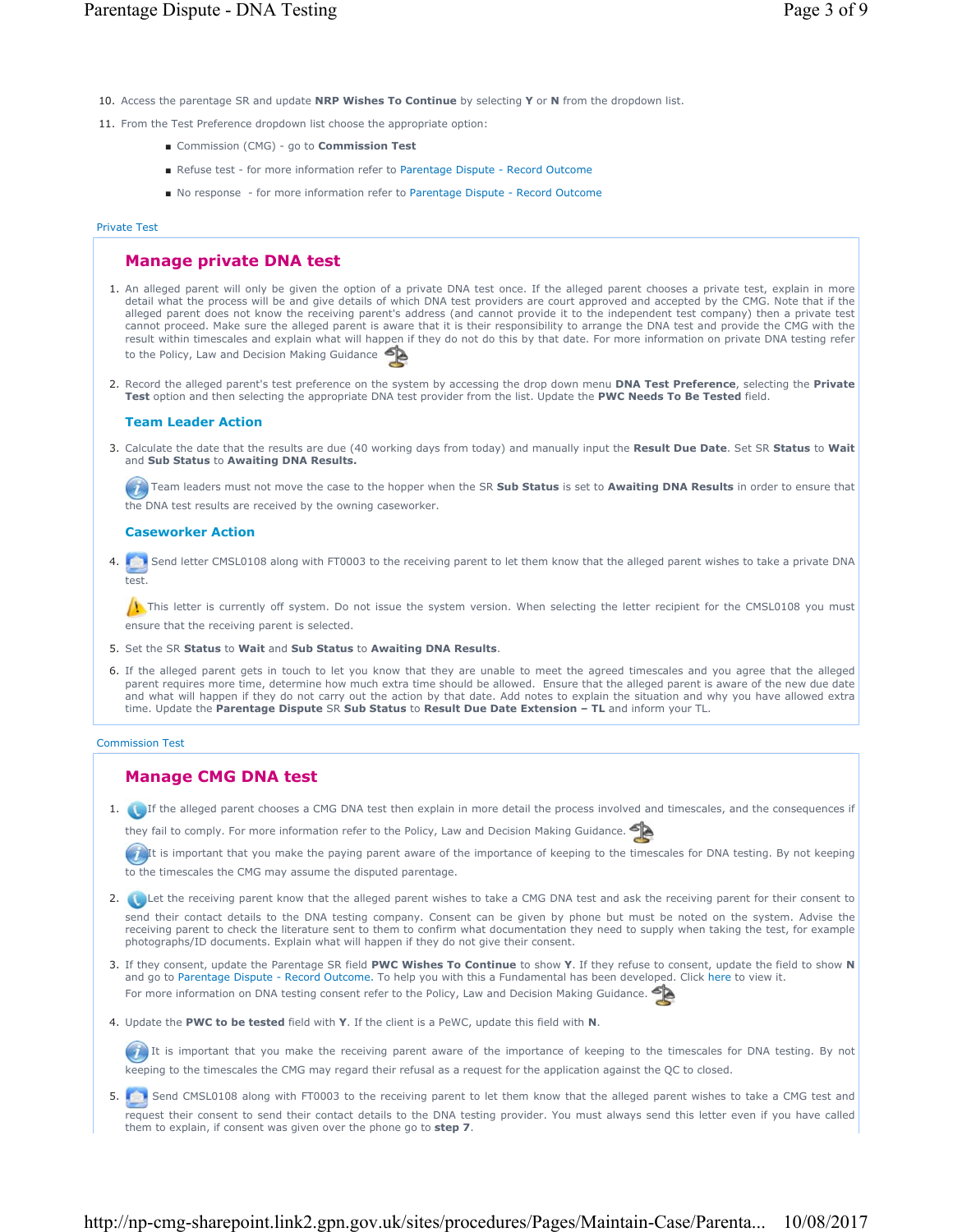- 10. Access the parentage SR and update **NRP Wishes To Continue** by selecting **Y** or **N** from the dropdown list.
- 11. From the Test Preference dropdown list choose the appropriate option:
	- Commission (CMG) go to **Commission Test**
	- Refuse test for more information refer to Parentage Dispute Record Outcome
	- No response for more information refer to Parentage Dispute Record Outcome

#### Private Test

# **Manage private DNA test**

- 1. An alleged parent will only be given the option of a private DNA test once. If the alleged parent chooses a private test, explain in more detail what the process will be and give details of which DNA test providers are court approved and accepted by the CMG. Note that if the alleged parent does not know the receiving parent's address (and cannot provide it to the independent test company) then a private test cannot proceed. Make sure the alleged parent is aware that it is their responsibility to arrange the DNA test and provide the CMG with the result within timescales and explain what will happen if they do not do this by that date. For more information on private DNA testing refer to the Policy, Law and Decision Making Guidance
- Record the alleged parent's test preference on the system by accessing the drop down menu **DNA Test Preference**, selecting the **Private**  2. **Test** option and then selecting the appropriate DNA test provider from the list. Update the **PWC Needs To Be Tested** field.

#### **Team Leader Action**

Calculate the date that the results are due (40 working days from today) and manually input the **Result Due Date**. Set SR **Status** to **Wait**  3. and **Sub Status** to **Awaiting DNA Results.**

Team leaders must not move the case to the hopper when the SR **Sub Status** is set to **Awaiting DNA Results** in order to ensure that the DNA test results are received by the owning caseworker.

#### **Caseworker Action**

4. Send letter CMSL0108 along with FT0003 to the receiving parent to let them know that the alleged parent wishes to take a private DNA test.

 $\Lambda$  This letter is currently off system. Do not issue the system version. When selecting the letter recipient for the CMSL0108 you must ensure that the receiving parent is selected.

- 5. Set the SR **Status** to **Wait** and **Sub Status** to **Awaiting DNA Results**.
- 6. If the alleged parent gets in touch to let you know that they are unable to meet the agreed timescales and you agree that the alleged parent requires more time, determine how much extra time should be allowed. Ensure that the alleged parent is aware of the new due date and what will happen if they do not carry out the action by that date. Add notes to explain the situation and why you have allowed extra time. Update the **Parentage Dispute** SR **Sub Status** to **Result Due Date Extension – TL** and inform your TL.

#### Commission Test

# **Manage CMG DNA test**

1. If the alleged parent chooses a CMG DNA test then explain in more detail the process involved and timescales, and the consequences if

they fail to comply. For more information refer to the Policy, Law and Decision Making Guidance.

It is important that you make the paying parent aware of the importance of keeping to the timescales for DNA testing. By not keeping to the timescales the CMG may assume the disputed parentage.

- 2. **Let the receiving parent know that the alleged parent wishes to take a CMG DNA test and ask the receiving parent for their consent to** send their contact details to the DNA testing company. Consent can be given by phone but must be noted on the system. Advise the receiving parent to check the literature sent to them to confirm what documentation they need to supply when taking the test, for example photographs/ID documents. Explain what will happen if they do not give their consent.
- If they consent, update the Parentage SR field **PWC Wishes To Continue** to show **Y**. If they refuse to consent, update the field to show **N**  3. and go to Parentage Dispute - Record Outcome. To help you with this a Fundamental has been developed. Click here to view it. For more information on DNA testing consent refer to the Policy, Law and Decision Making Guidance.
- 4. Update the PWC to be tested field with Y. If the client is a PeWC, update this field with N.

It is important that you make the receiving parent aware of the importance of keeping to the timescales for DNA testing. By not keeping to the timescales the CMG may regard their refusal as a request for the application against the QC to closed.

5. Send CMSL0108 along with FT0003 to the receiving parent to let them know that the alleged parent wishes to take a CMG test and request their consent to send their contact details to the DNA testing provider. You must always send this letter even if you have called them to explain, if consent was given over the phone go to **step 7**.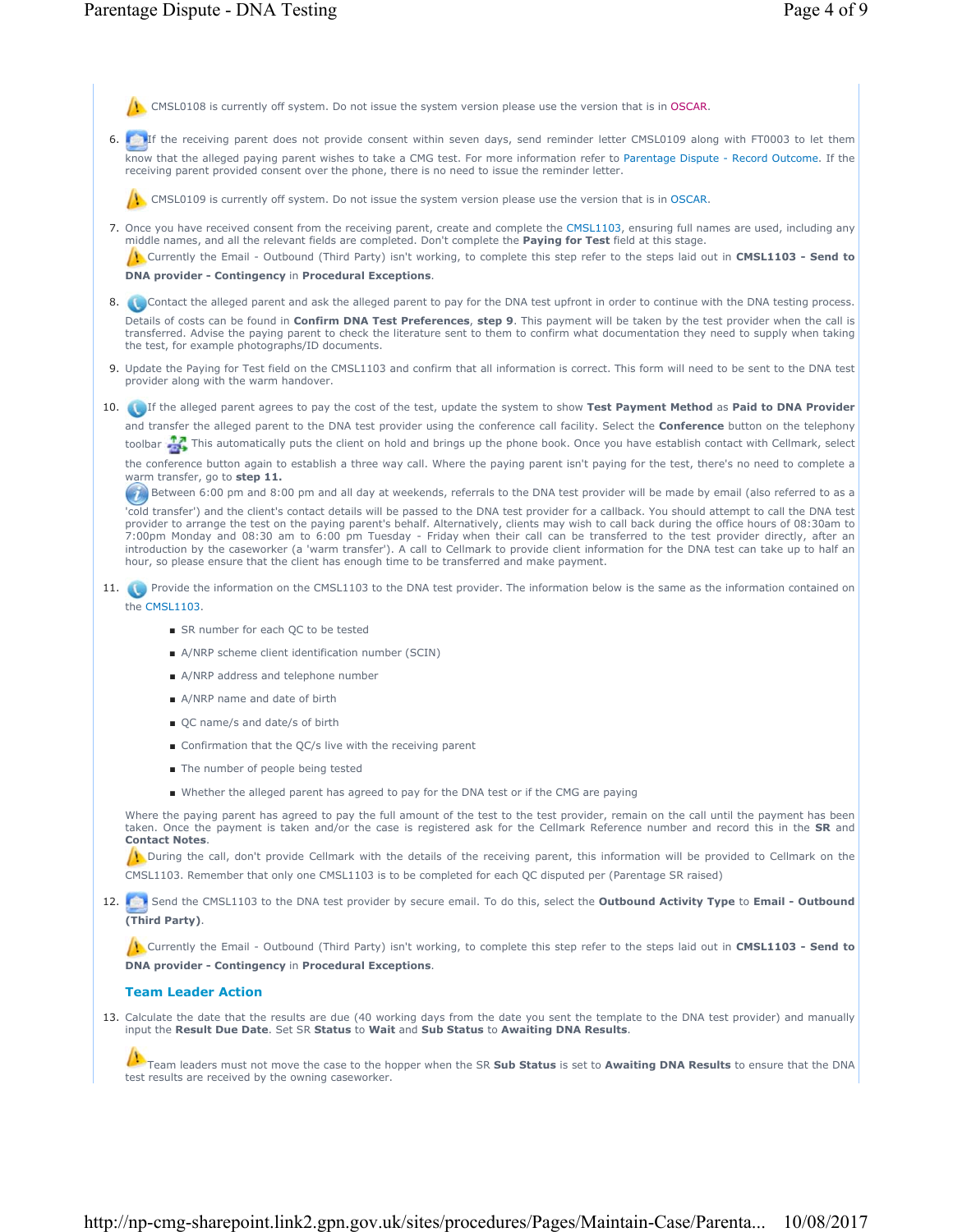|      | CMSL0108 is currently off system. Do not issue the system version please use the version that is in OSCAR.                                                                                                                                                                                                                                                                                                                                                                                                                                                                                                                                                                             |
|------|----------------------------------------------------------------------------------------------------------------------------------------------------------------------------------------------------------------------------------------------------------------------------------------------------------------------------------------------------------------------------------------------------------------------------------------------------------------------------------------------------------------------------------------------------------------------------------------------------------------------------------------------------------------------------------------|
|      | 6. If the receiving parent does not provide consent within seven days, send reminder letter CMSL0109 along with FT0003 to let them                                                                                                                                                                                                                                                                                                                                                                                                                                                                                                                                                     |
|      | know that the alleged paying parent wishes to take a CMG test. For more information refer to Parentage Dispute - Record Outcome. If the<br>receiving parent provided consent over the phone, there is no need to issue the reminder letter.                                                                                                                                                                                                                                                                                                                                                                                                                                            |
|      | CMSL0109 is currently off system. Do not issue the system version please use the version that is in OSCAR.                                                                                                                                                                                                                                                                                                                                                                                                                                                                                                                                                                             |
|      | 7. Once you have received consent from the receiving parent, create and complete the CMSL1103, ensuring full names are used, including any<br>middle names, and all the relevant fields are completed. Don't complete the Paying for Test field at this stage.<br>Currently the Email - Outbound (Third Party) isn't working, to complete this step refer to the steps laid out in CMSL1103 - Send to                                                                                                                                                                                                                                                                                  |
|      | <b>DNA provider - Contingency in Procedural Exceptions.</b>                                                                                                                                                                                                                                                                                                                                                                                                                                                                                                                                                                                                                            |
|      | 8. Contact the alleged parent and ask the alleged parent to pay for the DNA test upfront in order to continue with the DNA testing process.                                                                                                                                                                                                                                                                                                                                                                                                                                                                                                                                            |
|      | Details of costs can be found in Confirm DNA Test Preferences, step 9. This payment will be taken by the test provider when the call is<br>transferred. Advise the paying parent to check the literature sent to them to confirm what documentation they need to supply when taking<br>the test, for example photographs/ID documents.                                                                                                                                                                                                                                                                                                                                                 |
|      | 9. Update the Paying for Test field on the CMSL1103 and confirm that all information is correct. This form will need to be sent to the DNA test<br>provider along with the warm handover.                                                                                                                                                                                                                                                                                                                                                                                                                                                                                              |
|      | 10. If the alleged parent agrees to pay the cost of the test, update the system to show Test Payment Method as Paid to DNA Provider                                                                                                                                                                                                                                                                                                                                                                                                                                                                                                                                                    |
|      | and transfer the alleged parent to the DNA test provider using the conference call facility. Select the <b>Conference</b> button on the telephony                                                                                                                                                                                                                                                                                                                                                                                                                                                                                                                                      |
|      | toolbar To This automatically puts the client on hold and brings up the phone book. Once you have establish contact with Cellmark, select                                                                                                                                                                                                                                                                                                                                                                                                                                                                                                                                              |
|      | the conference button again to establish a three way call. Where the paying parent isn't paying for the test, there's no need to complete a<br>warm transfer, go to step 11.                                                                                                                                                                                                                                                                                                                                                                                                                                                                                                           |
|      | Between 6:00 pm and 8:00 pm and all day at weekends, referrals to the DNA test provider will be made by email (also referred to as a                                                                                                                                                                                                                                                                                                                                                                                                                                                                                                                                                   |
|      | 'cold transfer') and the client's contact details will be passed to the DNA test provider for a callback. You should attempt to call the DNA test<br>provider to arrange the test on the paying parent's behalf. Alternatively, clients may wish to call back during the office hours of 08:30am to<br>7:00pm Monday and 08:30 am to 6:00 pm Tuesday - Friday when their call can be transferred to the test provider directly, after an<br>introduction by the caseworker (a 'warm transfer'). A call to Cellmark to provide client information for the DNA test can take up to half an<br>hour, so please ensure that the client has enough time to be transferred and make payment. |
|      | 11. Provide the information on the CMSL1103 to the DNA test provider. The information below is the same as the information contained on<br>the CMSL1103.                                                                                                                                                                                                                                                                                                                                                                                                                                                                                                                               |
|      | ■ SR number for each QC to be tested                                                                                                                                                                                                                                                                                                                                                                                                                                                                                                                                                                                                                                                   |
|      | A/NRP scheme client identification number (SCIN)                                                                                                                                                                                                                                                                                                                                                                                                                                                                                                                                                                                                                                       |
|      | A/NRP address and telephone number                                                                                                                                                                                                                                                                                                                                                                                                                                                                                                                                                                                                                                                     |
|      | A/NRP name and date of birth                                                                                                                                                                                                                                                                                                                                                                                                                                                                                                                                                                                                                                                           |
|      | ■ QC name/s and date/s of birth                                                                                                                                                                                                                                                                                                                                                                                                                                                                                                                                                                                                                                                        |
|      | ■ Confirmation that the QC/s live with the receiving parent                                                                                                                                                                                                                                                                                                                                                                                                                                                                                                                                                                                                                            |
|      | The number of people being tested                                                                                                                                                                                                                                                                                                                                                                                                                                                                                                                                                                                                                                                      |
|      | ■ Whether the alleged parent has agreed to pay for the DNA test or if the CMG are paying                                                                                                                                                                                                                                                                                                                                                                                                                                                                                                                                                                                               |
|      |                                                                                                                                                                                                                                                                                                                                                                                                                                                                                                                                                                                                                                                                                        |
|      | Where the paying parent has agreed to pay the full amount of the test to the test provider, remain on the call until the payment has been<br>taken. Once the payment is taken and/or the case is registered ask for the Cellmark Reference number and record this in the SR and<br><b>Contact Notes.</b>                                                                                                                                                                                                                                                                                                                                                                               |
|      | During the call, don't provide Cellmark with the details of the receiving parent, this information will be provided to Cellmark on the<br>CMSL1103. Remember that only one CMSL1103 is to be completed for each QC disputed per (Parentage SR raised)                                                                                                                                                                                                                                                                                                                                                                                                                                  |
| 12.1 | Send the CMSL1103 to the DNA test provider by secure email. To do this, select the <b>Outbound Activity Type</b> to <b>Email - Outbound</b><br>(Third Party).                                                                                                                                                                                                                                                                                                                                                                                                                                                                                                                          |
|      | Currently the Email - Outbound (Third Party) isn't working, to complete this step refer to the steps laid out in CMSL1103 - Send to<br>DNA provider - Contingency in Procedural Exceptions.                                                                                                                                                                                                                                                                                                                                                                                                                                                                                            |
|      | <b>Team Leader Action</b>                                                                                                                                                                                                                                                                                                                                                                                                                                                                                                                                                                                                                                                              |

Calculate the date that the results are due (40 working days from the date you sent the template to the DNA test provider) and manually input the **Result Due Date**. Set SR **Status** to **Wait** and **Sub Status** to **Awaiting DNA Results**. 13.

Team leaders must not move the case to the hopper when the SR **Sub Status** is set to **Awaiting DNA Results** to ensure that the DNA test results are received by the owning caseworker.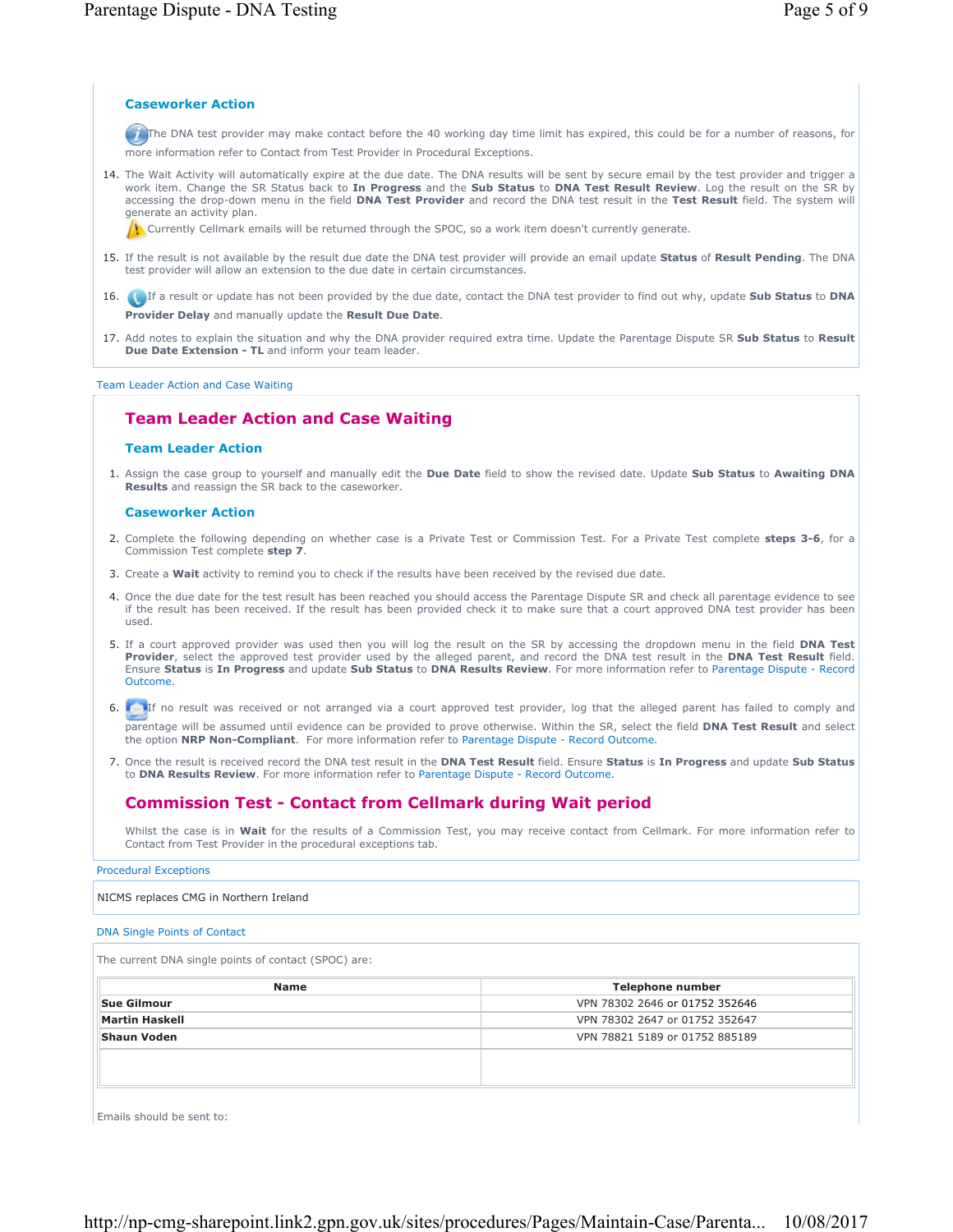## **Caseworker Action**

The DNA test provider may make contact before the 40 working day time limit has expired, this could be for a number of reasons, for more information refer to Contact from Test Provider in Procedural Exceptions.

14. The Wait Activity will automatically expire at the due date. The DNA results will be sent by secure email by the test provider and trigger a work item. Change the SR Status back to **In Progress** and the **Sub Status** to **DNA Test Result Review**. Log the result on the SR by accessing the drop-down menu in the field **DNA Test Provider** and record the DNA test result in the **Test Result** field. The system will generate an activity plan.

Currently Cellmark emails will be returned through the SPOC, so a work item doesn't currently generate.

- If the result is not available by the result due date the DNA test provider will provide an email update **Status** of **Result Pending**. The DNA 15. test provider will allow an extension to the due date in certain circumstances.
- If a result or update has not been provided by the due date, contact the DNA test provider to find out why, update **Sub Status** to **DNA**  16. **Provider Delay** and manually update the **Result Due Date**.

17. Add notes to explain the situation and why the DNA provider required extra time. Update the Parentage Dispute SR Sub Status to Result **Due Date Extension - TL** and inform your team leader.

Team Leader Action and Case Waiting

# **Team Leader Action and Case Waiting**

#### **Team Leader Action**

Assign the case group to yourself and manually edit the **Due Date** field to show the revised date. Update **Sub Status** to **Awaiting DNA**  1. **Results** and reassign the SR back to the caseworker.

### **Caseworker Action**

- Complete the following depending on whether case is a Private Test or Commission Test. For a Private Test complete **steps 3-6**, for a 2. Commission Test complete **step 7**.
- 3. Create a **Wait** activity to remind you to check if the results have been received by the revised due date.
- 4. Once the due date for the test result has been reached you should access the Parentage Dispute SR and check all parentage evidence to see if the result has been received. If the result has been provided check it to make sure that a court approved DNA test provider has been used.
- If a court approved provider was used then you will log the result on the SR by accessing the dropdown menu in the field **DNA Test** 5. **Provider**, select the approved test provider used by the alleged parent, and record the DNA test result in the **DNA Test Result** field. Ensure **Status** is **In Progress** and update **Sub Status** to **DNA Results Review**. For more information refer to Parentage Dispute - Record Outcome.
- 6. If no result was received or not arranged via a court approved test provider, log that the alleged parent has failed to comply and parentage will be assumed until evidence can be provided to prove otherwise. Within the SR, select the field **DNA Test Result** and select the option **NRP Non-Compliant**. For more information refer to Parentage Dispute - Record Outcome.
- Once the result is received record the DNA test result in the **DNA Test Result** field. Ensure **Status** is **In Progress** and update **Sub Status** 7. to **DNA Results Review**. For more information refer to Parentage Dispute - Record Outcome.

# **Commission Test - Contact from Cellmark during Wait period**

Whilst the case is in **Wait** for the results of a Commission Test, you may receive contact from Cellmark. For more information refer to Contact from Test Provider in the procedural exceptions tab.

Procedural Exceptions

#### NICMS replaces CMG in Northern Ireland

### DNA Single Points of Contact

The current DNA single points of contact (SPOC) are:

| Telephone number               |
|--------------------------------|
| VPN 78302 2646 or 01752 352646 |
| VPN 78302 2647 or 01752 352647 |
| VPN 78821 5189 or 01752 885189 |
|                                |
|                                |
|                                |

Emails should be sent to: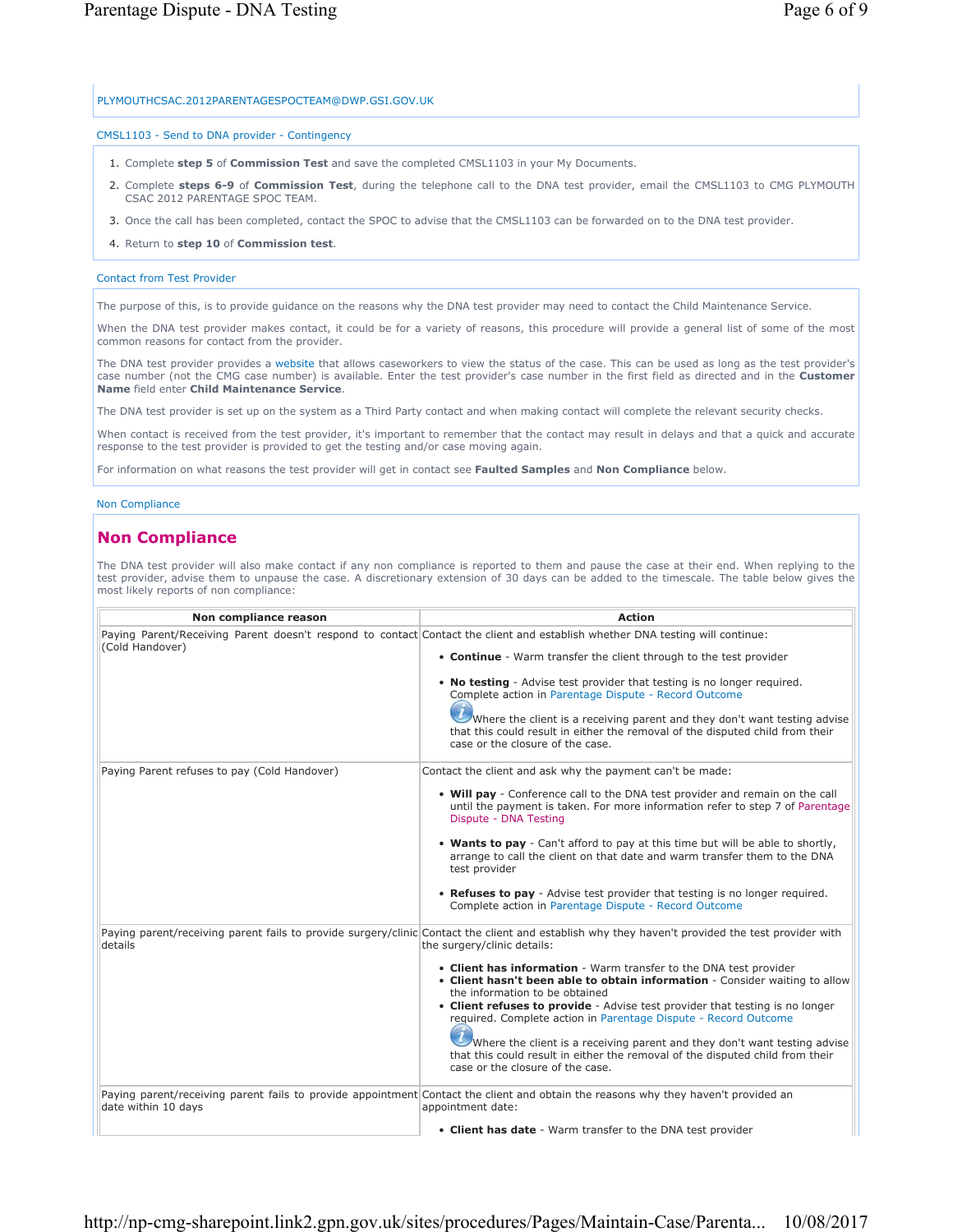## PLYMOUTHCSAC.2012PARENTAGESPOCTEAM@DWP.GSI.GOV.UK

## CMSL1103 - Send to DNA provider - Contingency

- 1. Complete **step 5** of **Commission Test** and save the completed CMSL1103 in your My Documents.
- Complete **steps 6-9** of **Commission Test**, during the telephone call to the DNA test provider, email the CMSL1103 to CMG PLYMOUTH 2. CSAC 2012 PARENTAGE SPOC TEAM.
- 3. Once the call has been completed, contact the SPOC to advise that the CMSL1103 can be forwarded on to the DNA test provider.
- 4. Return to **step 10** of **Commission test**.

## Contact from Test Provider

The purpose of this, is to provide guidance on the reasons why the DNA test provider may need to contact the Child Maintenance Service.

When the DNA test provider makes contact, it could be for a variety of reasons, this procedure will provide a general list of some of the most common reasons for contact from the provider.

The DNA test provider provides a website that allows caseworkers to view the status of the case. This can be used as long as the test provider's case number (not the CMG case number) is available. Enter the test provider's case number in the first field as directed and in the **Customer Name** field enter **Child Maintenance Service**.

The DNA test provider is set up on the system as a Third Party contact and when making contact will complete the relevant security checks.

When contact is received from the test provider, it's important to remember that the contact may result in delays and that a quick and accurate response to the test provider is provided to get the testing and/or case moving again.

For information on what reasons the test provider will get in contact see **Faulted Samples** and **Non Compliance** below.

# Non Compliance

# **Non Compliance**

The DNA test provider will also make contact if any non compliance is reported to them and pause the case at their end. When replying to the test provider, advise them to unpause the case. A discretionary extension of 30 days can be added to the timescale. The table below gives the most likely reports of non compliance:

| Non compliance reason                                                                                                                                                                      | <b>Action</b>                                                                                                                                                                                       |
|--------------------------------------------------------------------------------------------------------------------------------------------------------------------------------------------|-----------------------------------------------------------------------------------------------------------------------------------------------------------------------------------------------------|
| (Cold Handover)                                                                                                                                                                            | Paying Parent/Receiving Parent doesn't respond to contact Contact the client and establish whether DNA testing will continue:<br>• Continue - Warm transfer the client through to the test provider |
|                                                                                                                                                                                            | • No testing - Advise test provider that testing is no longer required.<br>Complete action in Parentage Dispute - Record Outcome                                                                    |
|                                                                                                                                                                                            | Where the client is a receiving parent and they don't want testing advise<br>that this could result in either the removal of the disputed child from their<br>case or the closure of the case.      |
| Paying Parent refuses to pay (Cold Handover)                                                                                                                                               | Contact the client and ask why the payment can't be made:                                                                                                                                           |
|                                                                                                                                                                                            | • Will pay - Conference call to the DNA test provider and remain on the call<br>until the payment is taken. For more information refer to step 7 of Parentage<br>Dispute - DNA Testing              |
|                                                                                                                                                                                            | • Wants to pay - Can't afford to pay at this time but will be able to shortly,<br>arrange to call the client on that date and warm transfer them to the DNA<br>test provider                        |
|                                                                                                                                                                                            | • Refuses to pay - Advise test provider that testing is no longer required.<br>Complete action in Parentage Dispute - Record Outcome                                                                |
| Paying parent/receiving parent fails to provide surgery/clinic Contact the client and establish why they haven't provided the test provider with<br>the surgery/clinic details:<br>details |                                                                                                                                                                                                     |
|                                                                                                                                                                                            | • Client has information - Warm transfer to the DNA test provider<br>. Client hasn't been able to obtain information - Consider waiting to allow<br>the information to be obtained                  |
|                                                                                                                                                                                            | • Client refuses to provide - Advise test provider that testing is no longer<br>required. Complete action in Parentage Dispute - Record Outcome                                                     |
|                                                                                                                                                                                            | Where the client is a receiving parent and they don't want testing advise<br>that this could result in either the removal of the disputed child from their<br>case or the closure of the case.      |
| date within 10 days                                                                                                                                                                        | Paying parent/receiving parent fails to provide appointment Contact the client and obtain the reasons why they haven't provided an<br>appointment date:                                             |
|                                                                                                                                                                                            | • Client has date - Warm transfer to the DNA test provider                                                                                                                                          |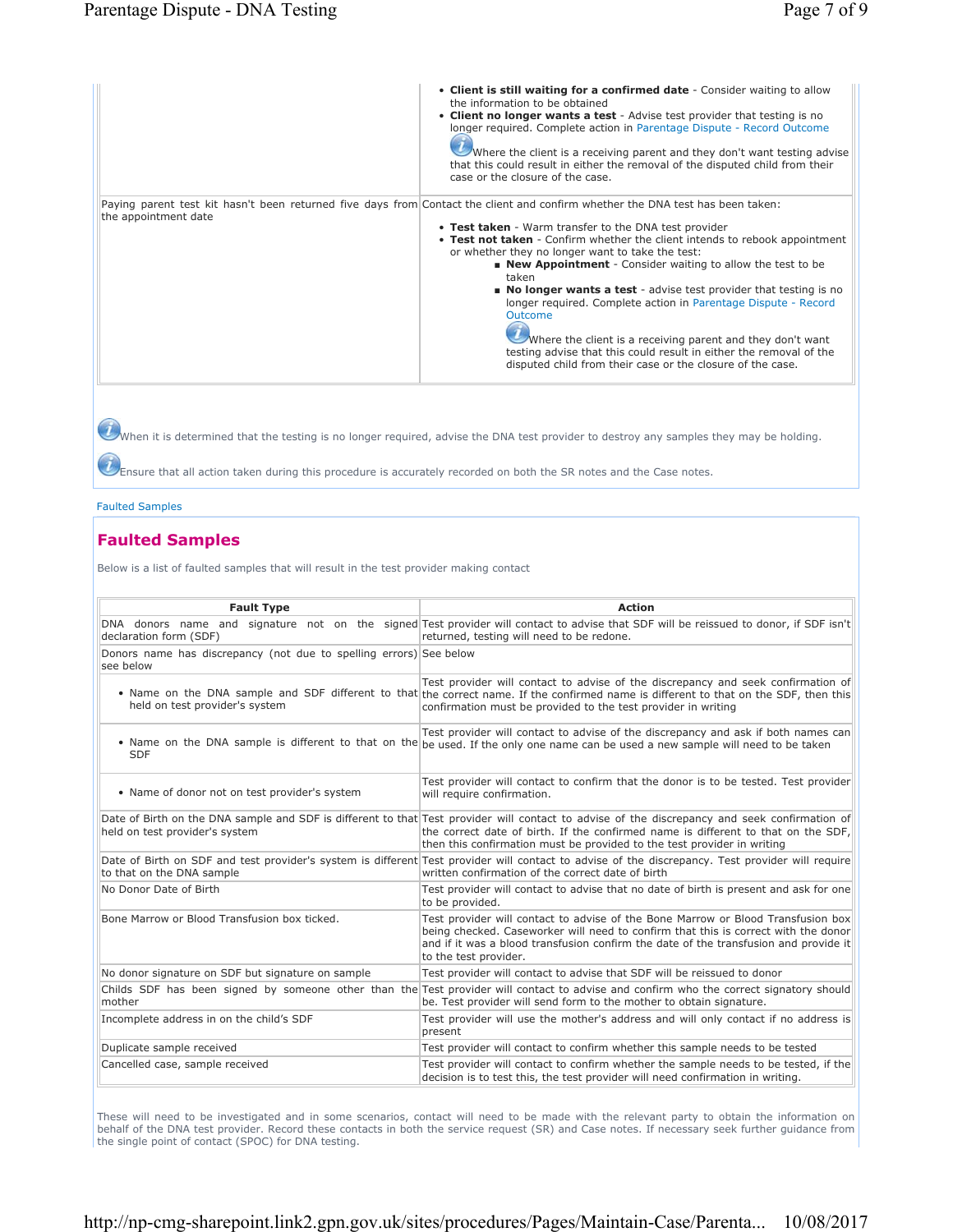|                      | • Client is still waiting for a confirmed date - Consider waiting to allow<br>the information to be obtained<br>• Client no longer wants a test - Advise test provider that testing is no<br>longer required. Complete action in Parentage Dispute - Record Outcome<br>Where the client is a receiving parent and they don't want testing advise<br>that this could result in either the removal of the disputed child from their<br>case or the closure of the case.                                                                                                                                                                                                                                                                                              |
|----------------------|--------------------------------------------------------------------------------------------------------------------------------------------------------------------------------------------------------------------------------------------------------------------------------------------------------------------------------------------------------------------------------------------------------------------------------------------------------------------------------------------------------------------------------------------------------------------------------------------------------------------------------------------------------------------------------------------------------------------------------------------------------------------|
| the appointment date | Paying parent test kit hasn't been returned five days from Contact the client and confirm whether the DNA test has been taken:<br>• Test taken - Warm transfer to the DNA test provider<br>• Test not taken - Confirm whether the client intends to rebook appointment<br>or whether they no longer want to take the test:<br><b>New Appointment</b> - Consider waiting to allow the test to be<br>taken<br><b>No longer wants a test</b> - advise test provider that testing is no<br>longer required. Complete action in Parentage Dispute - Record<br>Outcome<br>Where the client is a receiving parent and they don't want<br>testing advise that this could result in either the removal of the<br>disputed child from their case or the closure of the case. |

 $\hat{U}$  When it is determined that the testing is no longer required, advise the DNA test provider to destroy any samples they may be holding.

 $\bm{\nu}$ Ensure that all action taken during this procedure is accurately recorded on both the SR notes and the Case notes.

## Faulted Samples

# **Faulted Samples**

Below is a list of faulted samples that will result in the test provider making contact

| <b>Fault Type</b>                                                               | <b>Action</b>                                                                                                                                                                                                                                                                                                 |
|---------------------------------------------------------------------------------|---------------------------------------------------------------------------------------------------------------------------------------------------------------------------------------------------------------------------------------------------------------------------------------------------------------|
| declaration form (SDF)                                                          | DNA donors name and signature not on the signed Test provider will contact to advise that SDF will be reissued to donor, if SDF isn't<br>returned, testing will need to be redone.                                                                                                                            |
| Donors name has discrepancy (not due to spelling errors) See below<br>see below |                                                                                                                                                                                                                                                                                                               |
| held on test provider's system                                                  | Test provider will contact to advise of the discrepancy and seek confirmation of<br>. Name on the DNA sample and SDF different to that the correct name. If the confirmed name is different to that on the SDF, then this<br>confirmation must be provided to the test provider in writing                    |
| <b>SDF</b>                                                                      | Test provider will contact to advise of the discrepancy and ask if both names can<br>. Name on the DNA sample is different to that on the be used. If the only one name can be used a new sample will need to be taken                                                                                        |
| • Name of donor not on test provider's system                                   | Test provider will contact to confirm that the donor is to be tested. Test provider<br>will require confirmation.                                                                                                                                                                                             |
| held on test provider's system                                                  | Date of Birth on the DNA sample and SDF is different to that Test provider will contact to advise of the discrepancy and seek confirmation of<br>the correct date of birth. If the confirmed name is different to that on the SDF.<br>then this confirmation must be provided to the test provider in writing |
| to that on the DNA sample                                                       | Date of Birth on SDF and test provider's system is different Test provider will contact to advise of the discrepancy. Test provider will require<br>written confirmation of the correct date of birth                                                                                                         |
| No Donor Date of Birth                                                          | Test provider will contact to advise that no date of birth is present and ask for one<br>to be provided.                                                                                                                                                                                                      |
| Bone Marrow or Blood Transfusion box ticked.                                    | Test provider will contact to advise of the Bone Marrow or Blood Transfusion box<br>being checked. Caseworker will need to confirm that this is correct with the donor<br>and if it was a blood transfusion confirm the date of the transfusion and provide it<br>to the test provider.                       |
| No donor signature on SDF but signature on sample                               | Test provider will contact to advise that SDF will be reissued to donor                                                                                                                                                                                                                                       |
| mother                                                                          | Childs SDF has been signed by someone other than the Test provider will contact to advise and confirm who the correct signatory should<br>be. Test provider will send form to the mother to obtain signature.                                                                                                 |
| Incomplete address in on the child's SDF                                        | Test provider will use the mother's address and will only contact if no address is<br>present                                                                                                                                                                                                                 |
| Duplicate sample received                                                       | Test provider will contact to confirm whether this sample needs to be tested                                                                                                                                                                                                                                  |
| Cancelled case, sample received                                                 | Test provider will contact to confirm whether the sample needs to be tested, if the<br>decision is to test this, the test provider will need confirmation in writing.                                                                                                                                         |

These will need to be investigated and in some scenarios, contact will need to be made with the relevant party to obtain the information on behalf of the DNA test provider. Record these contacts in both the service request (SR) and Case notes. If necessary seek further guidance from the single point of contact (SPOC) for DNA testing.